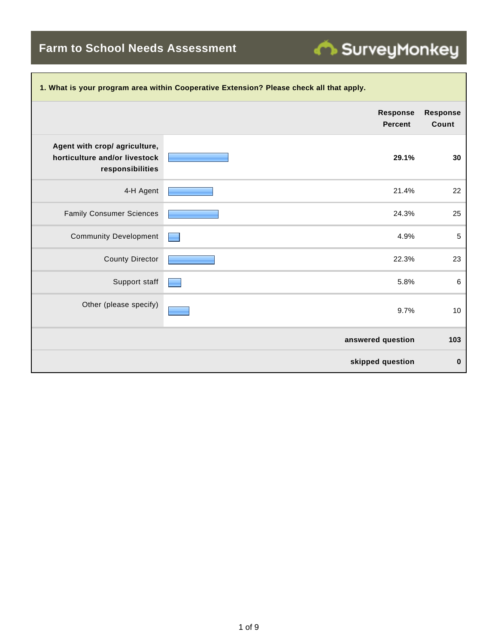**Farm to School Needs Assessment**

| 1. What is your program area within Cooperative Extension? Please check all that apply. |                                   |                          |  |  |  |
|-----------------------------------------------------------------------------------------|-----------------------------------|--------------------------|--|--|--|
|                                                                                         | <b>Response</b><br><b>Percent</b> | <b>Response</b><br>Count |  |  |  |
| Agent with crop/ agriculture,<br>horticulture and/or livestock<br>responsibilities      | 29.1%                             | 30                       |  |  |  |
| 4-H Agent                                                                               | 21.4%                             | 22                       |  |  |  |
| <b>Family Consumer Sciences</b>                                                         | 24.3%                             | 25                       |  |  |  |
| <b>Community Development</b>                                                            | 4.9%                              | 5                        |  |  |  |
| <b>County Director</b>                                                                  | 22.3%                             | 23                       |  |  |  |
| Support staff                                                                           | 5.8%                              | 6                        |  |  |  |
| Other (please specify)                                                                  | 9.7%                              | 10                       |  |  |  |
|                                                                                         | answered question                 | 103                      |  |  |  |
|                                                                                         | skipped question                  | 0                        |  |  |  |

SurveyMonkey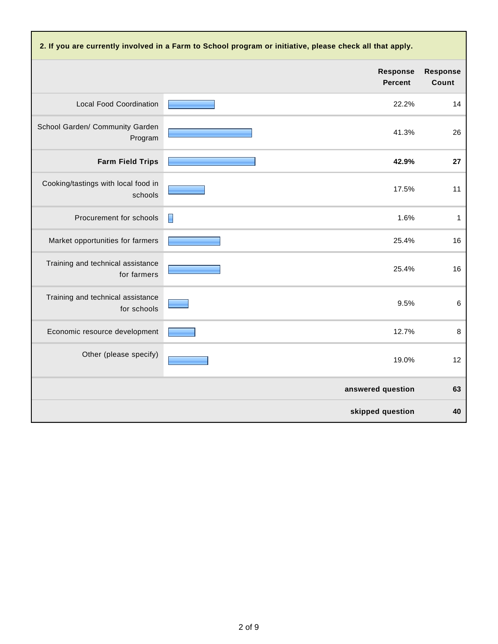| 2. If you are currently involved in a Farm to School program or initiative, please check all that apply. |                                   |                          |  |  |  |
|----------------------------------------------------------------------------------------------------------|-----------------------------------|--------------------------|--|--|--|
|                                                                                                          | <b>Response</b><br><b>Percent</b> | <b>Response</b><br>Count |  |  |  |
| <b>Local Food Coordination</b>                                                                           | 22.2%                             | 14                       |  |  |  |
| School Garden/ Community Garden<br>Program                                                               | 41.3%                             | 26                       |  |  |  |
| <b>Farm Field Trips</b>                                                                                  | 42.9%                             | 27                       |  |  |  |
| Cooking/tastings with local food in<br>schools                                                           | 17.5%                             | 11                       |  |  |  |
| Procurement for schools                                                                                  | 1.6%<br>П                         | $\mathbf{1}$             |  |  |  |
| Market opportunities for farmers                                                                         | 25.4%                             | 16                       |  |  |  |
| Training and technical assistance<br>for farmers                                                         | 25.4%                             | 16                       |  |  |  |
| Training and technical assistance<br>for schools                                                         | 9.5%                              | $\,6\,$                  |  |  |  |
| Economic resource development                                                                            | 12.7%                             | 8                        |  |  |  |
| Other (please specify)                                                                                   | 19.0%                             | 12                       |  |  |  |
|                                                                                                          | answered question                 | 63                       |  |  |  |
|                                                                                                          | skipped question                  | 40                       |  |  |  |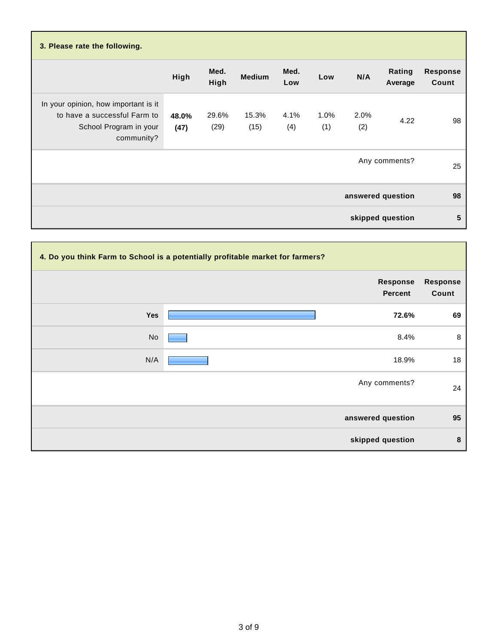| 3. Please rate the following.                                                                                |               |               |               |             |             |             |                   |                          |
|--------------------------------------------------------------------------------------------------------------|---------------|---------------|---------------|-------------|-------------|-------------|-------------------|--------------------------|
|                                                                                                              | High          | Med.<br>High  | <b>Medium</b> | Med.<br>Low | Low         | N/A         | Rating<br>Average | <b>Response</b><br>Count |
| In your opinion, how important is it<br>to have a successful Farm to<br>School Program in your<br>community? | 48.0%<br>(47) | 29.6%<br>(29) | 15.3%<br>(15) | 4.1%<br>(4) | 1.0%<br>(1) | 2.0%<br>(2) | 4.22              | 98                       |
|                                                                                                              |               |               |               |             |             |             | Any comments?     | 25                       |
|                                                                                                              |               |               |               |             |             |             | answered question | 98                       |
|                                                                                                              |               |               |               |             |             |             | skipped question  | 5                        |

| 4. Do you think Farm to School is a potentially profitable market for farmers? |                            |                          |  |  |
|--------------------------------------------------------------------------------|----------------------------|--------------------------|--|--|
|                                                                                | Response<br><b>Percent</b> | <b>Response</b><br>Count |  |  |
| Yes                                                                            | 72.6%                      | 69                       |  |  |
| No                                                                             | 8.4%                       | 8                        |  |  |
| N/A                                                                            | 18.9%                      | 18                       |  |  |
|                                                                                | Any comments?              | 24                       |  |  |
|                                                                                | answered question          | 95                       |  |  |
|                                                                                | skipped question           | 8                        |  |  |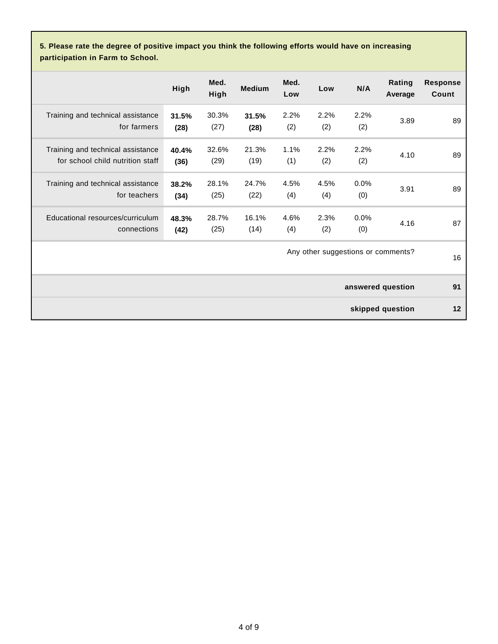**5. Please rate the degree of positive impact you think the following efforts would have on increasing participation in Farm to School.**

|                                                                       | High          | Med.<br>High  | <b>Medium</b> | Med.<br>Low | Low         | N/A         | Rating<br>Average                  | <b>Response</b><br>Count |
|-----------------------------------------------------------------------|---------------|---------------|---------------|-------------|-------------|-------------|------------------------------------|--------------------------|
| Training and technical assistance<br>for farmers                      | 31.5%<br>(28) | 30.3%<br>(27) | 31.5%<br>(28) | 2.2%<br>(2) | 2.2%<br>(2) | 2.2%<br>(2) | 3.89                               | 89                       |
| Training and technical assistance<br>for school child nutrition staff | 40.4%<br>(36) | 32.6%<br>(29) | 21.3%<br>(19) | 1.1%<br>(1) | 2.2%<br>(2) | 2.2%<br>(2) | 4.10                               | 89                       |
| Training and technical assistance<br>for teachers                     | 38.2%<br>(34) | 28.1%<br>(25) | 24.7%<br>(22) | 4.5%<br>(4) | 4.5%<br>(4) | 0.0%<br>(0) | 3.91                               | 89                       |
| Educational resources/curriculum<br>connections                       | 48.3%<br>(42) | 28.7%<br>(25) | 16.1%<br>(14) | 4.6%<br>(4) | 2.3%<br>(2) | 0.0%<br>(0) | 4.16                               | 87                       |
|                                                                       |               |               |               |             |             |             | Any other suggestions or comments? | 16                       |
|                                                                       |               |               |               |             |             |             | answered question                  | 91                       |
|                                                                       |               |               |               |             |             |             | skipped question                   | 12                       |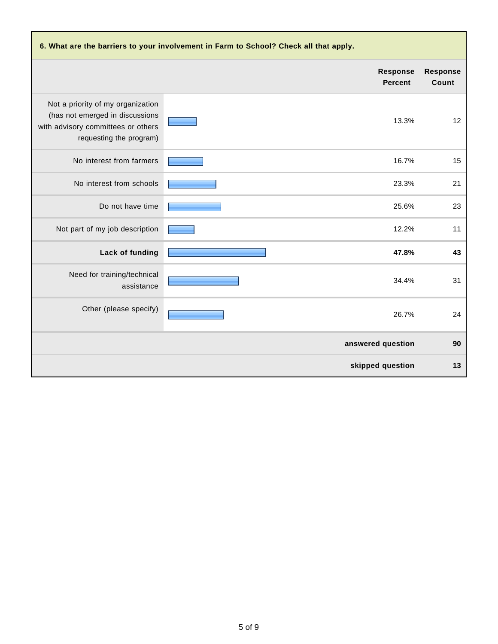| 6. What are the barriers to your involvement in Farm to School? Check all that apply.                                                 |                                   |                   |  |  |  |
|---------------------------------------------------------------------------------------------------------------------------------------|-----------------------------------|-------------------|--|--|--|
|                                                                                                                                       | <b>Response</b><br><b>Percent</b> | Response<br>Count |  |  |  |
| Not a priority of my organization<br>(has not emerged in discussions<br>with advisory committees or others<br>requesting the program) | 13.3%                             | 12                |  |  |  |
| No interest from farmers                                                                                                              | 16.7%                             | 15                |  |  |  |
| No interest from schools                                                                                                              | 23.3%                             | 21                |  |  |  |
| Do not have time                                                                                                                      | 25.6%                             | 23                |  |  |  |
| Not part of my job description                                                                                                        | 12.2%                             | 11                |  |  |  |
| Lack of funding                                                                                                                       | 47.8%                             | 43                |  |  |  |
| Need for training/technical<br>assistance                                                                                             | 34.4%                             | 31                |  |  |  |
| Other (please specify)                                                                                                                | 26.7%                             | 24                |  |  |  |
|                                                                                                                                       | answered question                 | 90                |  |  |  |
|                                                                                                                                       | skipped question                  | 13                |  |  |  |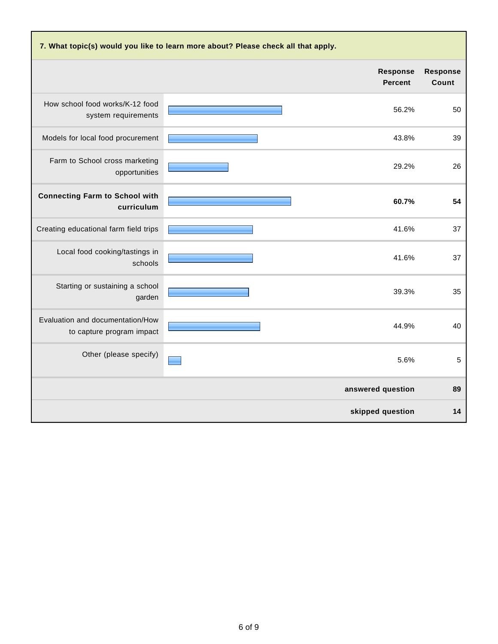| 7. What topic(s) would you like to learn more about? Please check all that apply. |                                   |                          |  |  |  |
|-----------------------------------------------------------------------------------|-----------------------------------|--------------------------|--|--|--|
|                                                                                   | <b>Response</b><br><b>Percent</b> | <b>Response</b><br>Count |  |  |  |
| How school food works/K-12 food<br>system requirements                            | 56.2%                             | 50                       |  |  |  |
| Models for local food procurement                                                 | 43.8%                             | 39                       |  |  |  |
| Farm to School cross marketing<br>opportunities                                   | 29.2%                             | 26                       |  |  |  |
| <b>Connecting Farm to School with</b><br>curriculum                               | 60.7%                             | 54                       |  |  |  |
| Creating educational farm field trips                                             | 41.6%                             | 37                       |  |  |  |
| Local food cooking/tastings in<br>schools                                         | 41.6%                             | 37                       |  |  |  |
| Starting or sustaining a school<br>garden                                         | 39.3%                             | 35                       |  |  |  |
| Evaluation and documentation/How<br>to capture program impact                     | 44.9%                             | 40                       |  |  |  |
| Other (please specify)                                                            | 5.6%                              | 5                        |  |  |  |
|                                                                                   | answered question                 | 89                       |  |  |  |
|                                                                                   | skipped question                  | 14                       |  |  |  |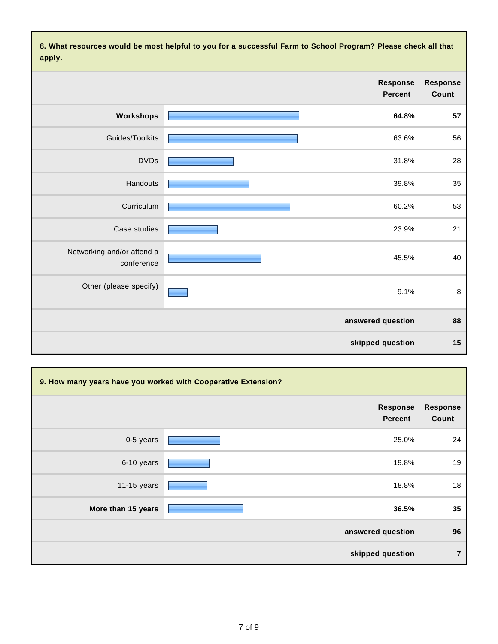**8. What resources would be most helpful to you for a successful Farm to School Program? Please check all that apply.**

|                   |                            | .                                        |
|-------------------|----------------------------|------------------------------------------|
| Response<br>Count | Response<br><b>Percent</b> |                                          |
| 57                | 64.8%                      | Workshops                                |
| 56                | 63.6%                      | Guides/Toolkits                          |
| 28                | 31.8%                      | <b>DVDs</b>                              |
| 35                | 39.8%                      | Handouts                                 |
| 53                | 60.2%                      | Curriculum                               |
| 21                | 23.9%                      | Case studies                             |
| 40                | 45.5%                      | Networking and/or attend a<br>conference |
| $\bf 8$           | 9.1%                       | Other (please specify)                   |
| 88                | answered question          |                                          |
| 15                | skipped question           |                                          |

| 9. How many years have you worked with Cooperative Extension? |                            |                   |  |  |
|---------------------------------------------------------------|----------------------------|-------------------|--|--|
|                                                               | <b>Response</b><br>Percent | Response<br>Count |  |  |
| 0-5 years                                                     | 25.0%                      | 24                |  |  |
| 6-10 years                                                    | 19.8%                      | 19                |  |  |
| 11-15 years                                                   | 18.8%                      | 18                |  |  |
| More than 15 years                                            | 36.5%                      | 35                |  |  |
|                                                               | answered question          | 96                |  |  |
|                                                               | skipped question           | $\overline{7}$    |  |  |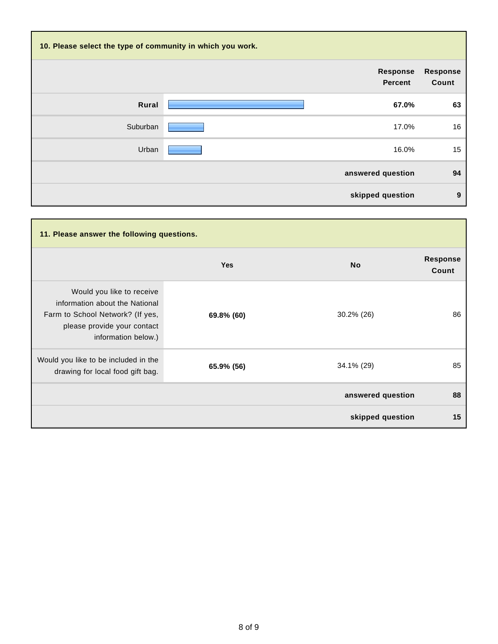| 10. Please select the type of community in which you work. |                                   |                          |  |  |  |
|------------------------------------------------------------|-----------------------------------|--------------------------|--|--|--|
|                                                            | <b>Response</b><br><b>Percent</b> | <b>Response</b><br>Count |  |  |  |
| Rural                                                      | 67.0%                             | 63                       |  |  |  |
| Suburban                                                   | 17.0%                             | 16                       |  |  |  |
| Urban                                                      | 16.0%                             | 15                       |  |  |  |
|                                                            | answered question                 | 94                       |  |  |  |
|                                                            | skipped question                  | 9                        |  |  |  |

| 11. Please answer the following questions.                                                                                                            |            |                   |                          |  |
|-------------------------------------------------------------------------------------------------------------------------------------------------------|------------|-------------------|--------------------------|--|
|                                                                                                                                                       | <b>Yes</b> | <b>No</b>         | <b>Response</b><br>Count |  |
| Would you like to receive<br>information about the National<br>Farm to School Network? (If yes,<br>please provide your contact<br>information below.) | 69.8% (60) | 30.2% (26)        | 86                       |  |
| Would you like to be included in the<br>drawing for local food gift bag.                                                                              | 65.9% (56) | 34.1% (29)        | 85                       |  |
|                                                                                                                                                       |            | answered question | 88                       |  |
|                                                                                                                                                       |            | skipped question  | 15                       |  |